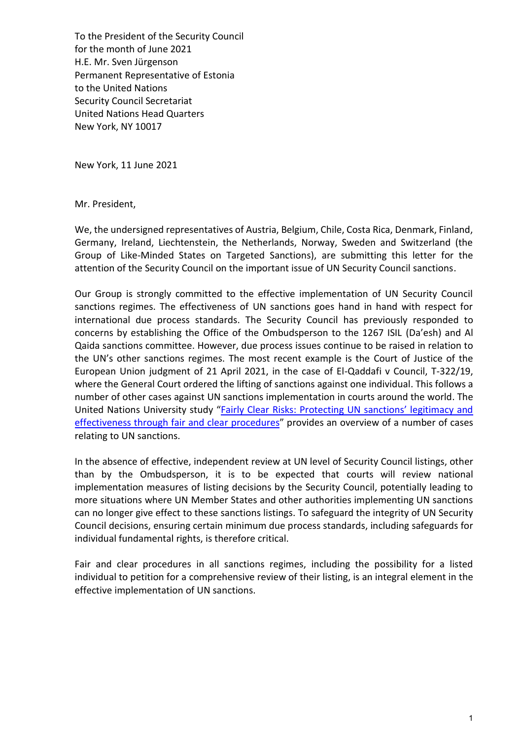To the President of the Security Council for the month of June 2021 H.E. Mr. Sven Jürgenson Permanent Representative of Estonia to the United Nations Security Council Secretariat United Nations Head Quarters New York, NY 10017

New York, 11 June 2021

Mr. President,

We, the undersigned representatives of Austria, Belgium, Chile, Costa Rica, Denmark, Finland, Germany, Ireland, Liechtenstein, the Netherlands, Norway, Sweden and Switzerland (the Group of Like-Minded States on Targeted Sanctions), are submitting this letter for the attention of the Security Council on the important issue of UN Security Council sanctions.

Our Group is strongly committed to the effective implementation of UN Security Council sanctions regimes. The effectiveness of UN sanctions goes hand in hand with respect for international due process standards. The Security Council has previously responded to concerns by establishing the Office of the Ombudsperson to the 1267 ISIL (Da'esh) and Al Qaida sanctions committee. However, due process issues continue to be raised in relation to the UN's other sanctions regimes. The most recent example is the Court of Justice of the European Union judgment of 21 April 2021, in the case of El-Qaddafi v Council, T-322/19, where the General Court ordered the lifting of sanctions against one individual. This follows a number of other cases against UN sanctions implementation in courts around the world. The United Nations University study "Fairly Clear Risks: Protecting UN sanctions' legitimacy and [effectiveness through fair and clear procedures](http://collections.unu.edu/eserv/UNU:6450/UNU_FairlyClearRisks_FINAL_Web.pdf)" provides an overview of a number of cases relating to UN sanctions.

In the absence of effective, independent review at UN level of Security Council listings, other than by the Ombudsperson, it is to be expected that courts will review national implementation measures of listing decisions by the Security Council, potentially leading to more situations where UN Member States and other authorities implementing UN sanctions can no longer give effect to these sanctions listings. To safeguard the integrity of UN Security Council decisions, ensuring certain minimum due process standards, including safeguards for individual fundamental rights, is therefore critical.

Fair and clear procedures in all sanctions regimes, including the possibility for a listed individual to petition for a comprehensive review of their listing, is an integral element in the effective implementation of UN sanctions.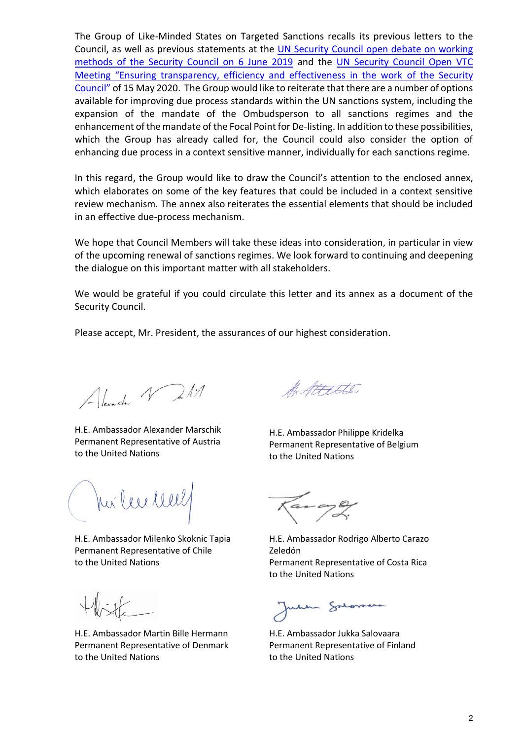The Group of Like-Minded States on Targeted Sanctions recalls its previous letters to the Council, as well as previous statements at the UN Security Council open debate on working [methods of the Security Council on 6 June 2019](https://www.government.se/speeches/20192/06/statement-by-ambassador-olof-skoog-of-sweden-on-behalf-of-the-group-of-likeminded-states-on-targeted-sanctions/) and the [UN Security Council Open VTC](https://www.un.org/press/en/2020/sc14188.doc.htm)  [Meeting "Ensuring transparency, efficiency and effectiveness in the work](https://www.un.org/press/en/2020/sc14188.doc.htm) of the Security [Council"](https://www.un.org/press/en/2020/sc14188.doc.htm) of 15 May 2020. The Group would like to reiterate that there are a number of options available for improving due process standards within the UN sanctions system, including the expansion of the mandate of the Ombudsperson to all sanctions regimes and the enhancement of the mandate of the Focal Point for De-listing. In addition to these possibilities, which the Group has already called for, the Council could also consider the option of enhancing due process in a context sensitive manner, individually for each sanctions regime.

In this regard, the Group would like to draw the Council's attention to the enclosed annex, which elaborates on some of the key features that could be included in a context sensitive review mechanism. The annex also reiterates the essential elements that should be included in an effective due-process mechanism.

We hope that Council Members will take these ideas into consideration, in particular in view of the upcoming renewal of sanctions regimes. We look forward to continuing and deepening the dialogue on this important matter with all stakeholders.

We would be grateful if you could circulate this letter and its annex as a document of the Security Council.

Please accept, Mr. President, the assurances of our highest consideration.

Alexander Vall

H.E. Ambassador Alexander Marschik Permanent Representative of Austria to the United Nations

Jui lee lee

H.E. Ambassador Milenko Skoknic Tapia Permanent Representative of Chile to the United Nations

H.E. Ambassador Martin Bille Hermann Permanent Representative of Denmark to the United Nations

Attelle

H.E. Ambassador Philippe Kridelka Permanent Representative of Belgium to the United Nations

………………………………….

H.E. Ambassador Rodrigo Alberto Carazo Zeledón Permanent Representative of Costa Rica to the United Nations

- Syran

H.E. Ambassador Jukka Salovaara Permanent Representative of Finland to the United Nations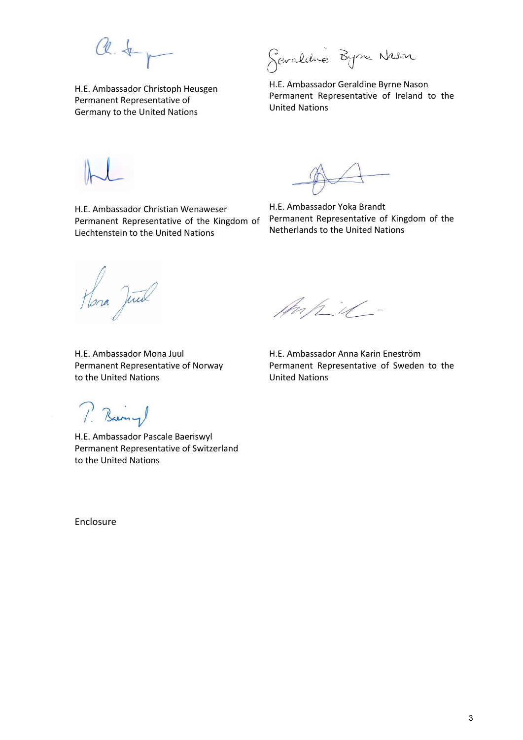a.t.

H.E. Ambassador Christoph Heusgen Permanent Representative of Germany to the United Nations

Sevaldre Byne Nason

H.E. Ambassador Geraldine Byrne Nason Permanent Representative of Ireland to the United Nations

H.E. Ambassador Christian Wenaweser Permanent Representative of the Kingdom of Liechtenstein to the United Nations

H.E. Ambassador Yoka Brandt Permanent Representative of Kingdom of the Netherlands to the United Nations

Hona June

Anhil-

H.E. Ambassador Mona Juul Permanent Representative of Norway to the United Nations

H.E. Ambassador Anna Karin Eneström Permanent Representative of Sweden to the United Nations

P. Barny

H.E. Ambassador Pascale Baeriswyl Permanent Representative of Switzerland to the United Nations

Enclosure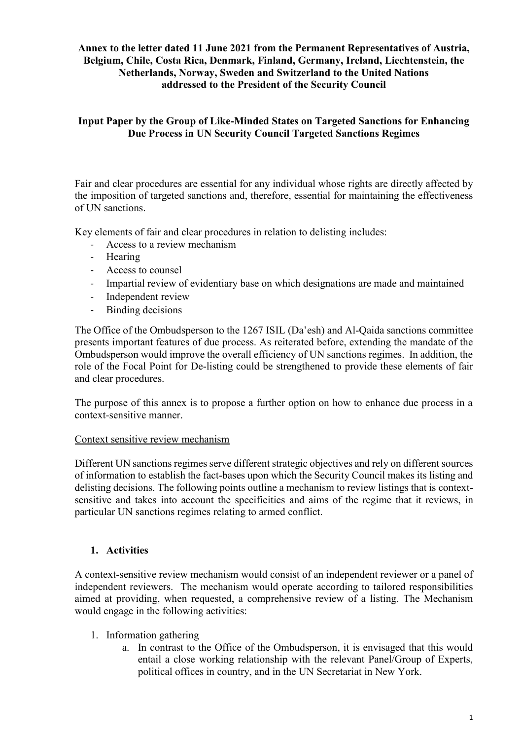## **Annex to the letter dated 11 June 2021 from the Permanent Representatives of Austria, Belgium, Chile, Costa Rica, Denmark, Finland, Germany, Ireland, Liechtenstein, the Netherlands, Norway, Sweden and Switzerland to the United Nations addressed to the President of the Security Council**

## **Input Paper by the Group of Like-Minded States on Targeted Sanctions for Enhancing Due Process in UN Security Council Targeted Sanctions Regimes**

Fair and clear procedures are essential for any individual whose rights are directly affected by the imposition of targeted sanctions and, therefore, essential for maintaining the effectiveness of UN sanctions.

Key elements of fair and clear procedures in relation to delisting includes:

- Access to a review mechanism
- Hearing
- Access to counsel
- Impartial review of evidentiary base on which designations are made and maintained
- Independent review
- Binding decisions

The Office of the Ombudsperson to the 1267 ISIL (Da'esh) and Al-Qaida sanctions committee presents important features of due process. As reiterated before, extending the mandate of the Ombudsperson would improve the overall efficiency of UN sanctions regimes. In addition, the role of the Focal Point for De-listing could be strengthened to provide these elements of fair and clear procedures.

The purpose of this annex is to propose a further option on how to enhance due process in a context-sensitive manner.

#### Context sensitive review mechanism

Different UN sanctions regimes serve different strategic objectives and rely on different sources of information to establish the fact-bases upon which the Security Council makes its listing and delisting decisions. The following points outline a mechanism to review listings that is contextsensitive and takes into account the specificities and aims of the regime that it reviews, in particular UN sanctions regimes relating to armed conflict.

## **1. Activities**

A context-sensitive review mechanism would consist of an independent reviewer or a panel of independent reviewers. The mechanism would operate according to tailored responsibilities aimed at providing, when requested, a comprehensive review of a listing. The Mechanism would engage in the following activities:

- 1. Information gathering
	- a. In contrast to the Office of the Ombudsperson, it is envisaged that this would entail a close working relationship with the relevant Panel/Group of Experts, political offices in country, and in the UN Secretariat in New York.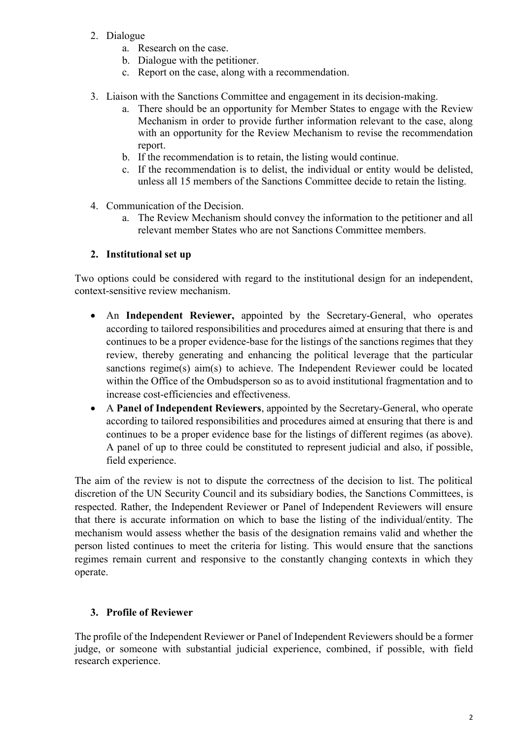- 2. Dialogue
	- a. Research on the case.
	- b. Dialogue with the petitioner.
	- c. Report on the case, along with a recommendation.
- 3. Liaison with the Sanctions Committee and engagement in its decision-making.
	- a. There should be an opportunity for Member States to engage with the Review Mechanism in order to provide further information relevant to the case, along with an opportunity for the Review Mechanism to revise the recommendation report.
	- b. If the recommendation is to retain, the listing would continue.
	- c. If the recommendation is to delist, the individual or entity would be delisted, unless all 15 members of the Sanctions Committee decide to retain the listing.
- 4. Communication of the Decision.
	- a. The Review Mechanism should convey the information to the petitioner and all relevant member States who are not Sanctions Committee members.

### **2. Institutional set up**

Two options could be considered with regard to the institutional design for an independent, context-sensitive review mechanism.

- An **Independent Reviewer,** appointed by the Secretary-General, who operates according to tailored responsibilities and procedures aimed at ensuring that there is and continues to be a proper evidence-base for the listings of the sanctions regimes that they review, thereby generating and enhancing the political leverage that the particular sanctions regime(s) aim(s) to achieve. The Independent Reviewer could be located within the Office of the Ombudsperson so as to avoid institutional fragmentation and to increase cost-efficiencies and effectiveness.
- A **Panel of Independent Reviewers**, appointed by the Secretary-General, who operate according to tailored responsibilities and procedures aimed at ensuring that there is and continues to be a proper evidence base for the listings of different regimes (as above). A panel of up to three could be constituted to represent judicial and also, if possible, field experience.

The aim of the review is not to dispute the correctness of the decision to list. The political discretion of the UN Security Council and its subsidiary bodies, the Sanctions Committees, is respected. Rather, the Independent Reviewer or Panel of Independent Reviewers will ensure that there is accurate information on which to base the listing of the individual/entity. The mechanism would assess whether the basis of the designation remains valid and whether the person listed continues to meet the criteria for listing. This would ensure that the sanctions regimes remain current and responsive to the constantly changing contexts in which they operate.

## **3. Profile of Reviewer**

The profile of the Independent Reviewer or Panel of Independent Reviewers should be a former judge, or someone with substantial judicial experience, combined, if possible, with field research experience.